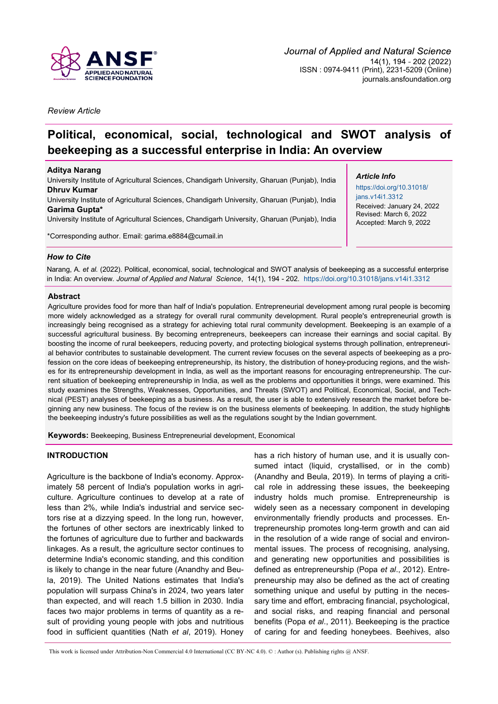

*Review Article*

# **Political, economical, social, technological and SWOT analysis of beekeeping as a successful enterprise in India: An overview**

#### **Aditya Narang**

University Institute of Agricultural Sciences, Chandigarh University, Gharuan (Punjab), India **Dhruv Kumar** University Institute of Agricultural Sciences, Chandigarh University, Gharuan (Punjab), India **Garima Gupta\***

University Institute of Agricultural Sciences, Chandigarh University, Gharuan (Punjab), India

\*Corresponding author. Email: [garima.e8884@cumail.in](mailto:garima.e8884@cumail.in)

# *Article Info*

[https://doi.org/10.31018/](https://doi.org/10.31018/jans.v14i1.3312) [jans.v14i1.3312](https://doi.org/10.31018/jans.v14i1.3312) Received: January 24, 2022 Revised: March 6, 2022 Accepted: March 9, 2022

# *How to Cite*

Narang, A. *et al.* (2022). Political, economical, social, technological and SWOT analysis of beekeeping as a successful enterprise in India: An overview. *Journal of Applied and Natural Science*, 14(1), 194 - 202. <https://doi.org/10.31018/jans.v14i1.3312>

### **Abstract**

Agriculture provides food for more than half of India's population. Entrepreneurial development among rural people is becoming more widely acknowledged as a strategy for overall rural community development. Rural people's entrepreneurial growth is increasingly being recognised as a strategy for achieving total rural community development. Beekeeping is an example of a successful agricultural business. By becoming entrepreneurs, beekeepers can increase their earnings and social capital. By boosting the income of rural beekeepers, reducing poverty, and protecting biological systems through pollination, entrepreneurial behavior contributes to sustainable development. The current review focuses on the several aspects of beekeeping as a profession on the core ideas of beekeeping entrepreneurship, its history, the distribution of honey-producing regions, and the wishes for its entrepreneurship development in India, as well as the important reasons for encouraging entrepreneurship. The current situation of beekeeping entrepreneurship in India, as well as the problems and opportunities it brings, were examined. This study examines the Strengths, Weaknesses, Opportunities, and Threats (SWOT) and Political, Economical, Social, and Technical (PEST) analyses of beekeeping as a business. As a result, the user is able to extensively research the market before beginning any new business. The focus of the review is on the business elements of beekeeping. In addition, the study highlights the beekeeping industry's future possibilities as well as the regulations sought by the Indian government.

**Keywords:** Beekeeping, Business Entrepreneurial development, Economical

# **INTRODUCTION**

Agriculture is the backbone of India's economy. Approximately 58 percent of India's population works in agriculture. Agriculture continues to develop at a rate of less than 2%, while India's industrial and service sectors rise at a dizzying speed. In the long run, however, the fortunes of other sectors are inextricably linked to the fortunes of agriculture due to further and backwards linkages. As a result, the agriculture sector continues to determine India's economic standing, and this condition is likely to change in the near future (Anandhy and Beula, 2019). The United Nations estimates that India's population will surpass China's in 2024, two years later than expected, and will reach 1.5 billion in 2030. India faces two major problems in terms of quantity as a result of providing young people with jobs and nutritious food in sufficient quantities (Nath *et al*, 2019). Honey has a rich history of human use, and it is usually consumed intact (liquid, crystallised, or in the comb) (Anandhy and Beula, 2019). In terms of playing a critical role in addressing these issues, the beekeeping industry holds much promise. Entrepreneurship is widely seen as a necessary component in developing environmentally friendly products and processes. Entrepreneurship promotes long-term growth and can aid in the resolution of a wide range of social and environmental issues. The process of recognising, analysing, and generating new opportunities and possibilities is defined as entrepreneurship (Popa *et al*., 2012). Entrepreneurship may also be defined as the act of creating something unique and useful by putting in the necessary time and effort, embracing financial, psychological, and social risks, and reaping financial and personal benefits (Popa *et al*., 2011). Beekeeping is the practice of caring for and feeding honeybees. Beehives, also

This work is licensed under Attribution-Non Commercial 4.0 International (CC BY-NC 4.0). © : Author (s). Publishing rights @ ANSF.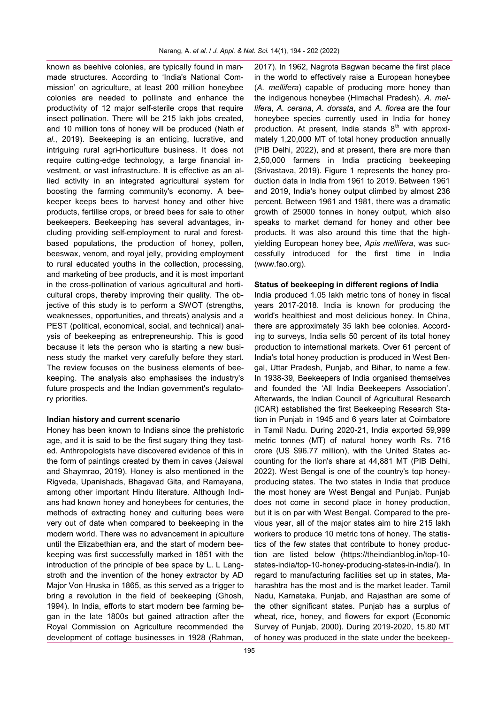known as beehive colonies, are typically found in manmade structures. According to 'India's National Commission' on agriculture, at least 200 million honeybee colonies are needed to pollinate and enhance the productivity of 12 major self-sterile crops that require insect pollination. There will be 215 lakh jobs created, and 10 million tons of honey will be produced (Nath *et al*., 2019). Beekeeping is an enticing, lucrative, and intriguing rural agri-horticulture business. It does not require cutting-edge technology, a large financial investment, or vast infrastructure. It is effective as an allied activity in an integrated agricultural system for boosting the farming community's economy. A beekeeper keeps bees to harvest honey and other hive products, fertilise crops, or breed bees for sale to other beekeepers. Beekeeping has several advantages, including providing self-employment to rural and forestbased populations, the production of honey, pollen, beeswax, venom, and royal jelly, providing employment to rural educated youths in the collection, processing, and marketing of bee products, and it is most important in the cross-pollination of various agricultural and horticultural crops, thereby improving their quality. The objective of this study is to perform a SWOT (strengths, weaknesses, opportunities, and threats) analysis and a PEST (political, economical, social, and technical) analysis of beekeeping as entrepreneurship. This is good because it lets the person who is starting a new business study the market very carefully before they start. The review focuses on the business elements of beekeeping. The analysis also emphasises the industry's future prospects and the Indian government's regulatory priorities.

#### **Indian history and current scenario**

Honey has been known to Indians since the prehistoric age, and it is said to be the first sugary thing they tasted. Anthropologists have discovered evidence of this in the form of paintings created by them in caves (Jaiswal and Shaymrao, 2019). Honey is also mentioned in the Rigveda, Upanishads, Bhagavad Gita, and Ramayana, among other important Hindu literature. Although Indians had known honey and honeybees for centuries, the methods of extracting honey and culturing bees were very out of date when compared to beekeeping in the modern world. There was no advancement in apiculture until the Elizabethian era, and the start of modern beekeeping was first successfully marked in 1851 with the introduction of the principle of bee space by L. L Langstroth and the invention of the honey extractor by AD Major Von Hruska in 1865, as this served as a trigger to bring a revolution in the field of beekeeping (Ghosh, 1994). In India, efforts to start modern bee farming began in the late 1800s but gained attraction after the Royal Commission on Agriculture recommended the development of cottage businesses in 1928 (Rahman,

2017). In 1962, Nagrota Bagwan became the first place in the world to effectively raise a European honeybee (*A. mellifera*) capable of producing more honey than the indigenous honeybee (Himachal Pradesh). *A. mellifera*, *A. cerana*, *A. dorsata*, and *A. florea* are the four honeybee species currently used in India for honey production. At present, India stands  $8<sup>th</sup>$  with approximately 1,20,000 MT of total honey production annually (PIB Delhi, 2022), and at present, there are more than 2,50,000 farmers in India practicing beekeeping (Srivastava, 2019). Figure 1 represents the honey production data in India from 1961 to 2019. Between 1961 and 2019, India's honey output climbed by almost 236 percent. Between 1961 and 1981, there was a dramatic growth of 25000 tonnes in honey output, which also speaks to market demand for honey and other bee products. It was also around this time that the highyielding European honey bee, *Apis mellifera*, was successfully introduced for the first time in India [\(www.fao.org\)](http://www.fao.org).

#### **Status of beekeeping in different regions of India**

India produced 1.05 lakh metric tons of honey in fiscal years 2017-2018. India is known for producing the world's healthiest and most delicious honey. In China, there are approximately 35 lakh bee colonies. According to surveys, India sells 50 percent of its total honey production to international markets. Over 61 percent of India's total honey production is produced in West Bengal, Uttar Pradesh, Punjab, and Bihar, to name a few. In 1938-39, Beekeepers of India organised themselves and founded the 'All India Beekeepers Association'. Afterwards, the Indian Council of Agricultural Research (ICAR) established the first Beekeeping Research Station in Punjab in 1945 and 6 years later at Coimbatore in Tamil Nadu. During 2020-21, India exported 59,999 metric tonnes (MT) of natural honey worth Rs. 716 crore (US \$96.77 million), with the United States accounting for the lion's share at 44,881 MT (PIB Delhi, 2022). West Bengal is one of the country's top honeyproducing states. The two states in India that produce the most honey are West Bengal and Punjab. Punjab does not come in second place in honey production, but it is on par with West Bengal. Compared to the previous year, all of the major states aim to hire 215 lakh workers to produce 10 metric tons of honey. The statistics of the few states that contribute to honey production are listed below (https://theindianblog.in/top-10 states-india/top-10-honey-producing-states-in-india/). In regard to manufacturing facilities set up in states, Maharashtra has the most and is the market leader. Tamil Nadu, Karnataka, Punjab, and Rajasthan are some of the other significant states. Punjab has a surplus of wheat, rice, honey, and flowers for export (Economic Survey of Punjab, 2000). During 2019-2020, 15.80 MT of honey was produced in the state under the beekeep-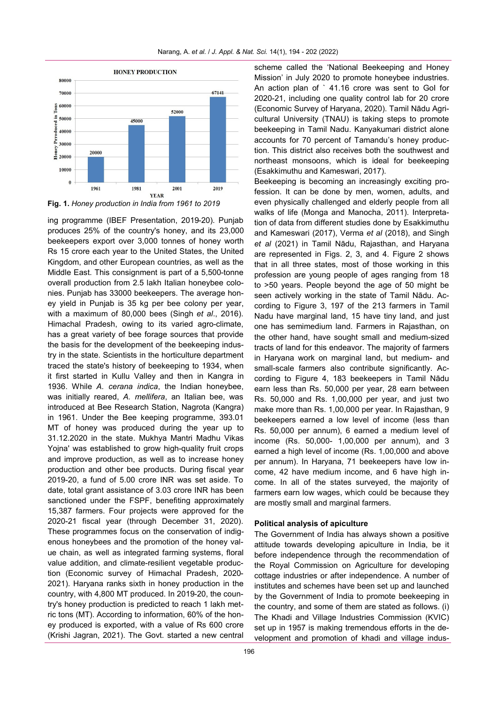

**Fig. 1.** *Honey production in India from 1961 to 2019*

ing programme (IBEF Presentation, 2019-20). Punjab produces 25% of the country's honey, and its 23,000 beekeepers export over 3,000 tonnes of honey worth Rs 15 crore each year to the United States, the United Kingdom, and other European countries, as well as the Middle East. This consignment is part of a 5,500-tonne overall production from 2.5 lakh Italian honeybee colonies. Punjab has 33000 beekeepers. The average honey yield in Punjab is 35 kg per bee colony per year, with a maximum of 80,000 bees (Singh *et al*., 2016). Himachal Pradesh, owing to its varied agro-climate, has a great variety of bee forage sources that provide the basis for the development of the beekeeping industry in the state. Scientists in the horticulture department traced the state's history of beekeeping to 1934, when it first started in Kullu Valley and then in Kangra in 1936. While *A. cerana indica*, the Indian honeybee, was initially reared, *A. mellifera*, an Italian bee, was introduced at Bee Research Station, Nagrota (Kangra) in 1961. Under the Bee keeping programme, 393.01 MT of honey was produced during the year up to 31.12.2020 in the state. Mukhya Mantri Madhu Vikas Yojna' was established to grow high-quality fruit crops and improve production, as well as to increase honey production and other bee products. During fiscal year 2019-20, a fund of 5.00 crore INR was set aside. To date, total grant assistance of 3.03 crore INR has been sanctioned under the FSPF, benefiting approximately 15,387 farmers. Four projects were approved for the 2020-21 fiscal year (through December 31, 2020). These programmes focus on the conservation of indigenous honeybees and the promotion of the honey value chain, as well as integrated farming systems, floral value addition, and climate-resilient vegetable production (Economic survey of Himachal Pradesh, 2020- 2021). Haryana ranks sixth in honey production in the country, with 4,800 MT produced. In 2019-20, the country's honey production is predicted to reach 1 lakh metric tons (MT). According to information, 60% of the honey produced is exported, with a value of Rs 600 crore (Krishi Jagran, 2021). The Govt. started a new central

scheme called the 'National Beekeeping and Honey Mission' in July 2020 to promote honeybee industries. An action plan of ` 41.16 crore was sent to GoI for 2020-21, including one quality control lab for 20 crore (Economic Survey of Haryana, 2020). Tamil Nādu Agricultural University (TNAU) is taking steps to promote beekeeping in Tamil Nadu. Kanyakumari district alone accounts for 70 percent of Tamandu's honey production. This district also receives both the southwest and northeast monsoons, which is ideal for beekeeping (Esakkimuthu and Kameswari, 2017).

Beekeeping is becoming an increasingly exciting profession. It can be done by men, women, adults, and even physically challenged and elderly people from all walks of life (Monga and Manocha, 2011). Interpretation of data from different studies done by Esakkimuthu and Kameswari (2017), Verma *et al* (2018), and Singh *et al* (2021) in Tamil Nādu, Rajasthan, and Haryana are represented in Figs. 2, 3, and 4. Figure 2 shows that in all three states, most of those working in this profession are young people of ages ranging from 18 to >50 years. People beyond the age of 50 might be seen actively working in the state of Tamil Nādu. According to Figure 3, 197 of the 213 farmers in Tamil Nadu have marginal land, 15 have tiny land, and just one has semimedium land. Farmers in Rajasthan, on the other hand, have sought small and medium-sized tracts of land for this endeavor. The majority of farmers in Haryana work on marginal land, but medium- and small-scale farmers also contribute significantly. According to Figure 4, 183 beekeepers in Tamil Nādu earn less than Rs. 50,000 per year, 28 earn between Rs. 50,000 and Rs. 1,00,000 per year, and just two make more than Rs. 1,00,000 per year. In Rajasthan, 9 beekeepers earned a low level of income (less than Rs. 50,000 per annum), 6 earned a medium level of income (Rs. 50,000- 1,00,000 per annum), and 3 earned a high level of income (Rs. 1,00,000 and above per annum). In Haryana, 71 beekeepers have low income, 42 have medium income, and 6 have high income. In all of the states surveyed, the majority of farmers earn low wages, which could be because they are mostly small and marginal farmers.

#### **Political analysis of apiculture**

The Government of India has always shown a positive attitude towards developing apiculture in India, be it before independence through the recommendation of the Royal Commission on Agriculture for developing cottage industries or after independence. A number of institutes and schemes have been set up and launched by the Government of India to promote beekeeping in the country, and some of them are stated as follows. (i) The Khadi and Village Industries Commission (KVIC) set up in 1957 is making tremendous efforts in the development and promotion of khadi and village indus-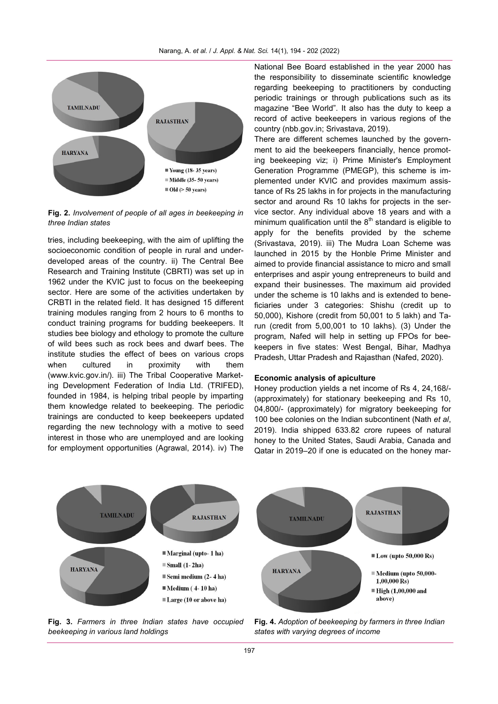

**Fig. 2.** *Involvement of people of all ages in beekeeping in three Indian states*

tries, including beekeeping, with the aim of uplifting the socioeconomic condition of people in rural and underdeveloped areas of the country. ii) The Central Bee Research and Training Institute (CBRTI) was set up in 1962 under the KVIC just to focus on the beekeeping sector. Here are some of the activities undertaken by CRBTI in the related field. It has designed 15 different training modules ranging from 2 hours to 6 months to conduct training programs for budding beekeepers. It studies bee biology and ethology to promote the culture of wild bees such as rock bees and dwarf bees. The institute studies the effect of bees on various crops when cultured in proximity with them [\(www.kvic.gov.in/\).](http://www.kvic.gov.in/) iii) The Tribal Cooperative Marketing Development Federation of India Ltd. (TRIFED), founded in 1984, is helping tribal people by imparting them knowledge related to beekeeping. The periodic trainings are conducted to keep beekeepers updated regarding the new technology with a motive to seed interest in those who are unemployed and are looking for employment opportunities (Agrawal, 2014). iv) The

National Bee Board established in the year 2000 has the responsibility to disseminate scientific knowledge regarding beekeeping to practitioners by conducting periodic trainings or through publications such as its magazine "Bee World". It also has the duty to keep a record of active beekeepers in various regions of the country (nbb.gov.in; Srivastava, 2019).

There are different schemes launched by the government to aid the beekeepers financially, hence promoting beekeeping viz; i) Prime Minister's Employment Generation Programme (PMEGP), this scheme is implemented under KVIC and provides maximum assistance of Rs 25 lakhs in for projects in the manufacturing sector and around Rs 10 lakhs for projects in the service sector. Any individual above 18 years and with a minimum qualification until the  $8<sup>th</sup>$  standard is eligible to apply for the benefits provided by the scheme (Srivastava, 2019). iii) The Mudra Loan Scheme was launched in 2015 by the Honble Prime Minister and aimed to provide financial assistance to micro and small enterprises and aspir young entrepreneurs to build and expand their businesses. The maximum aid provided under the scheme is 10 lakhs and is extended to beneficiaries under 3 categories: Shishu (credit up to 50,000), Kishore (credit from 50,001 to 5 lakh) and Tarun (credit from 5,00,001 to 10 lakhs). (3) Under the program, Nafed will help in setting up FPOs for beekeepers in five states: West Bengal, Bihar, Madhya Pradesh, Uttar Pradesh and Rajasthan (Nafed, 2020).

# **Economic analysis of apiculture**

Honey production yields a net income of Rs 4, 24,168/- (approximately) for stationary beekeeping and Rs 10, 04,800/- (approximately) for migratory beekeeping for 100 bee colonies on the Indian subcontinent (Nath *et al*, 2019). India shipped 633.82 crore rupees of natural honey to the United States, Saudi Arabia, Canada and Qatar in 2019–20 if one is educated on the honey mar-



**Fig. 3.** *Farmers in three Indian states have occupied beekeeping in various land holdings*

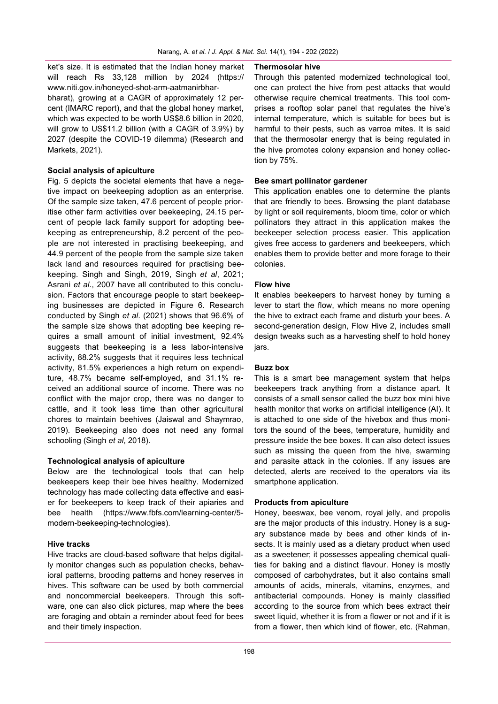ket's size. It is estimated that the Indian honey market will reach Rs 33,128 million by 2024 (https:// www.niti.gov.in/honeyed-shot-arm-aatmanirbharbharat), growing at a CAGR of approximately 12 percent (IMARC report), and that the global honey market, which was expected to be worth US\$8.6 billion in 2020, will grow to US\$11.2 billion (with a CAGR of 3.9%) by 2027 (despite the COVID-19 dilemma) (Research and Markets, 2021).

## **Social analysis of apiculture**

Fig. 5 depicts the societal elements that have a negative impact on beekeeping adoption as an enterprise. Of the sample size taken, 47.6 percent of people prioritise other farm activities over beekeeping, 24.15 percent of people lack family support for adopting beekeeping as entrepreneurship, 8.2 percent of the people are not interested in practising beekeeping, and 44.9 percent of the people from the sample size taken lack land and resources required for practising beekeeping. Singh and Singh, 2019, Singh *et al*, 2021; Asrani *et al*., 2007 have all contributed to this conclusion. Factors that encourage people to start beekeeping businesses are depicted in Figure 6. Research conducted by Singh *et al*. (2021) shows that 96.6% of the sample size shows that adopting bee keeping requires a small amount of initial investment, 92.4% suggests that beekeeping is a less labor-intensive activity, 88.2% suggests that it requires less technical activity, 81.5% experiences a high return on expenditure, 48.7% became self-employed, and 31.1% received an additional source of income. There was no conflict with the major crop, there was no danger to cattle, and it took less time than other agricultural chores to maintain beehives (Jaiswal and Shaymrao, 2019). Beekeeping also does not need any formal schooling (Singh *et al*, 2018).

# **Technological analysis of apiculture**

Below are the technological tools that can help beekeepers keep their bee hives healthy. Modernized technology has made collecting data effective and easier for beekeepers to keep track of their apiaries and bee health [\(https://www.fbfs.com/learning](https://www.fbfs.com/learning-center/5-modern-beekeeping-technologies)-center/5 modern-beekeeping-[technologies\)](https://www.fbfs.com/learning-center/5-modern-beekeeping-technologies).

#### **Hive tracks**

Hive tracks are cloud-based software that helps digitally monitor changes such as population checks, behavioral patterns, brooding patterns and honey reserves in hives. This software can be used by both commercial and noncommercial beekeepers. Through this software, one can also click pictures, map where the bees are foraging and obtain a reminder about feed for bees and their timely inspection.

#### **Thermosolar hive**

Through this patented modernized technological tool, one can protect the hive from pest attacks that would otherwise require chemical treatments. This tool comprises a rooftop solar panel that regulates the hive's internal temperature, which is suitable for bees but is harmful to their pests, such as varroa mites. It is said that the thermosolar energy that is being regulated in the hive promotes colony expansion and honey collection by 75%.

## **Bee smart pollinator gardener**

This application enables one to determine the plants that are friendly to bees. Browsing the plant database by light or soil requirements, bloom time, color or which pollinators they attract in this application makes the beekeeper selection process easier. This application gives free access to gardeners and beekeepers, which enables them to provide better and more forage to their colonies.

### **Flow hive**

It enables beekeepers to harvest honey by turning a lever to start the flow, which means no more opening the hive to extract each frame and disturb your bees. A second-generation design, Flow Hive 2, includes small design tweaks such as a harvesting shelf to hold honey jars.

#### **Buzz box**

This is a smart bee management system that helps beekeepers track anything from a distance apart. It consists of a small sensor called the buzz box mini hive health monitor that works on artificial intelligence (AI). It is attached to one side of the hivebox and thus monitors the sound of the bees, temperature, humidity and pressure inside the bee boxes. It can also detect issues such as missing the queen from the hive, swarming and parasite attack in the colonies. If any issues are detected, alerts are received to the operators via its smartphone application.

#### **Products from apiculture**

Honey, beeswax, bee venom, royal jelly, and propolis are the major products of this industry. Honey is a sugary substance made by bees and other kinds of insects. It is mainly used as a dietary product when used as a sweetener; it possesses appealing chemical qualities for baking and a distinct flavour. Honey is mostly composed of carbohydrates, but it also contains small amounts of acids, minerals, vitamins, enzymes, and antibacterial compounds. Honey is mainly classified according to the source from which bees extract their sweet liquid, whether it is from a flower or not and if it is from a flower, then which kind of flower, etc. (Rahman,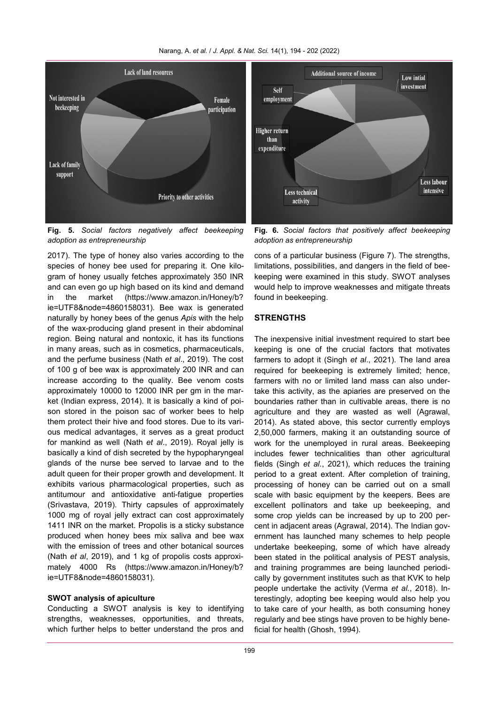



**Fig. 5.** *Social factors negatively affect beekeeping adoption as entrepreneurship*

2017). The type of honey also varies according to the species of honey bee used for preparing it. One kilogram of honey usually fetches approximately 350 INR and can even go up high based on its kind and demand in the market [\(https://www.amazon.in/Honey/b?](https://www.amazon.in/Honey/b?ie=UTF8&node=4860158031) [ie=UTF8&node=4860158031\).](https://www.amazon.in/Honey/b?ie=UTF8&node=4860158031) Bee wax is generated naturally by honey bees of the genus *Apis* with the help of the wax-producing gland present in their abdominal region. Being natural and nontoxic, it has its functions in many areas, such as in cosmetics, pharmaceuticals, and the perfume business (Nath *et al*., 2019). The cost of 100 g of bee wax is approximately 200 INR and can increase according to the quality. Bee venom costs approximately 10000 to 12000 INR per gm in the market (Indian express, 2014). It is basically a kind of poison stored in the poison sac of worker bees to help them protect their hive and food stores. Due to its various medical advantages, it serves as a great product for mankind as well (Nath *et al*., 2019). Royal jelly is basically a kind of dish secreted by the hypopharyngeal glands of the nurse bee served to larvae and to the adult queen for their proper growth and development. It exhibits various pharmacological properties, such as antitumour and antioxidative anti-fatigue properties (Srivastava, 2019). Thirty capsules of approximately 1000 mg of royal jelly extract can cost approximately 1411 INR on the market. Propolis is a sticky substance produced when honey bees mix saliva and bee wax with the emission of trees and other botanical sources (Nath *et al*, 2019), and 1 kg of propolis costs approximately 4000 Rs [\(https://www.amazon.in/Honey/b?](https://www.amazon.in/Honey/b?ie=UTF8&node=4860158031) [ie=UTF8&node=4860158031\).](https://www.amazon.in/Honey/b?ie=UTF8&node=4860158031)

### **SWOT analysis of apiculture**

Conducting a SWOT analysis is key to identifying strengths, weaknesses, opportunities, and threats, which further helps to better understand the pros and

**Fig. 6.** *Social factors that positively affect beekeeping adoption as entrepreneurship*

intensive

cons of a particular business (Figure 7). The strengths, limitations, possibilities, and dangers in the field of beekeeping were examined in this study. SWOT analyses would help to improve weaknesses and mitigate threats found in beekeeping.

# **STRENGTHS**

The inexpensive initial investment required to start bee keeping is one of the crucial factors that motivates farmers to adopt it (Singh *et al*., 2021). The land area required for beekeeping is extremely limited; hence, farmers with no or limited land mass can also undertake this activity, as the apiaries are preserved on the boundaries rather than in cultivable areas, there is no agriculture and they are wasted as well (Agrawal, 2014). As stated above, this sector currently employs 2,50,000 farmers, making it an outstanding source of work for the unemployed in rural areas. Beekeeping includes fewer technicalities than other agricultural fields (Singh *et al.*, 2021), which reduces the training period to a great extent. After completion of training, processing of honey can be carried out on a small scale with basic equipment by the keepers. Bees are excellent pollinators and take up beekeeping, and some crop yields can be increased by up to 200 percent in adjacent areas (Agrawal, 2014). The Indian government has launched many schemes to help people undertake beekeeping, some of which have already been stated in the political analysis of PEST analysis, and training programmes are being launched periodically by government institutes such as that KVK to help people undertake the activity (Verma *et al.*, 2018). Interestingly, adopting bee keeping would also help you to take care of your health, as both consuming honey regularly and bee stings have proven to be highly beneficial for health (Ghosh, 1994).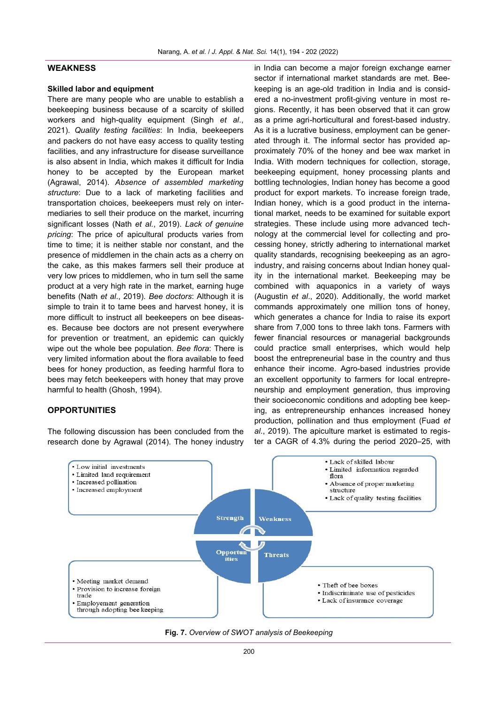#### **WEAKNESS**

#### **Skilled labor and equipment**

There are many people who are unable to establish a beekeeping business because of a scarcity of skilled workers and high-quality equipment (Singh *et al*., 2021). *Quality testing facilities*: In India, beekeepers and packers do not have easy access to quality testing facilities, and any infrastructure for disease surveillance is also absent in India, which makes it difficult for India honey to be accepted by the European market (Agrawal, 2014). *Absence of assembled marketing structure*: Due to a lack of marketing facilities and transportation choices, beekeepers must rely on intermediaries to sell their produce on the market, incurring significant losses (Nath *et al.*, 2019). *Lack of genuine pricing*: The price of apicultural products varies from time to time; it is neither stable nor constant, and the presence of middlemen in the chain acts as a cherry on the cake, as this makes farmers sell their produce at very low prices to middlemen, who in turn sell the same product at a very high rate in the market, earning huge benefits (Nath *et al*., 2019). *Bee doctors*: Although it is simple to train it to tame bees and harvest honey, it is more difficult to instruct all beekeepers on bee diseases. Because bee doctors are not present everywhere for prevention or treatment, an epidemic can quickly wipe out the whole bee population. *Bee flora*: There is very limited information about the flora available to feed bees for honey production, as feeding harmful flora to bees may fetch beekeepers with honey that may prove harmful to health (Ghosh, 1994).

# **OPPORTUNITIES**

The following discussion has been concluded from the research done by Agrawal (2014). The honey industry in India can become a major foreign exchange earner sector if international market standards are met. Beekeeping is an age-old tradition in India and is considered a no-investment profit-giving venture in most regions. Recently, it has been observed that it can grow as a prime agri-horticultural and forest-based industry. As it is a lucrative business, employment can be generated through it. The informal sector has provided approximately 70% of the honey and bee wax market in India. With modern techniques for collection, storage, beekeeping equipment, honey processing plants and bottling technologies, Indian honey has become a good product for export markets. To increase foreign trade, Indian honey, which is a good product in the international market, needs to be examined for suitable export strategies. These include using more advanced technology at the commercial level for collecting and processing honey, strictly adhering to international market quality standards, recognising beekeeping as an agroindustry, and raising concerns about Indian honey quality in the international market. Beekeeping may be combined with aquaponics in a variety of ways (Augustin *et al*., 2020). Additionally, the world market commands approximately one million tons of honey, which generates a chance for India to raise its export share from 7,000 tons to three lakh tons. Farmers with fewer financial resources or managerial backgrounds could practice small enterprises, which would help boost the entrepreneurial base in the country and thus enhance their income. Agro-based industries provide an excellent opportunity to farmers for local entrepreneurship and employment generation, thus improving their socioeconomic conditions and adopting bee keeping, as entrepreneurship enhances increased honey production, pollination and thus employment (Fuad *et al*., 2019). The apiculture market is estimated to register a CAGR of 4.3% during the period 2020–25, with

![](_page_6_Figure_6.jpeg)

![](_page_6_Figure_7.jpeg)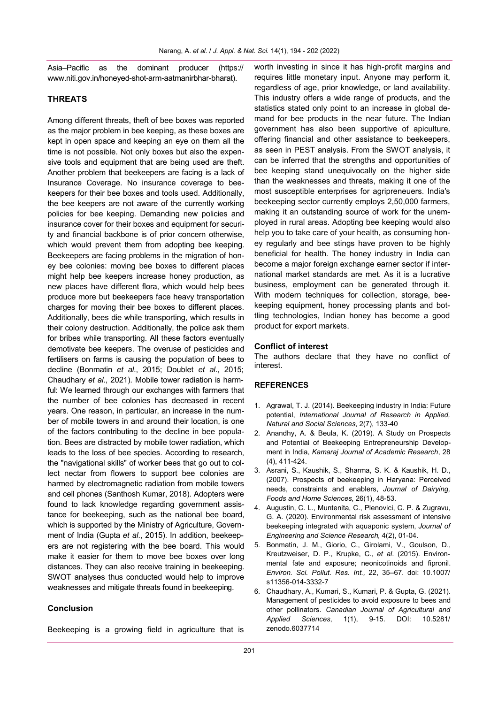Asia–Pacific as the dominant producer (https:// www.niti.gov.in/honeyed-shot-arm-aatmanirbhar-bharat).

## **THREATS**

Among different threats, theft of bee boxes was reported as the major problem in bee keeping, as these boxes are kept in open space and keeping an eye on them all the time is not possible. Not only boxes but also the expensive tools and equipment that are being used are theft. Another problem that beekeepers are facing is a lack of Insurance Coverage. No insurance coverage to beekeepers for their bee boxes and tools used. Additionally, the bee keepers are not aware of the currently working policies for bee keeping. Demanding new policies and insurance cover for their boxes and equipment for security and financial backbone is of prior concern otherwise, which would prevent them from adopting bee keeping. Beekeepers are facing problems in the migration of honey bee colonies: moving bee boxes to different places might help bee keepers increase honey production, as new places have different flora, which would help bees produce more but beekeepers face heavy transportation charges for moving their bee boxes to different places. Additionally, bees die while transporting, which results in their colony destruction. Additionally, the police ask them for bribes while transporting. All these factors eventually demotivate bee keepers. The overuse of pesticides and fertilisers on farms is causing the population of bees to decline (Bonmatin *et al*., 2015; Doublet *et al*., 2015; Chaudhary *et al*., 2021). Mobile tower radiation is harmful: We learned through our exchanges with farmers that the number of bee colonies has decreased in recent years. One reason, in particular, an increase in the number of mobile towers in and around their location, is one of the factors contributing to the decline in bee population. Bees are distracted by mobile tower radiation, which leads to the loss of bee species. According to research, the "navigational skills" of worker bees that go out to collect nectar from flowers to support bee colonies are harmed by electromagnetic radiation from mobile towers and cell phones (Santhosh Kumar, 2018). Adopters were found to lack knowledge regarding government assistance for beekeeping, such as the national bee board, which is supported by the Ministry of Agriculture, Government of India (Gupta *et al*., 2015). In addition, beekeepers are not registering with the bee board. This would make it easier for them to move bee boxes over long distances. They can also receive training in beekeeping. SWOT analyses thus conducted would help to improve weaknesses and mitigate threats found in beekeeping.

## **Conclusion**

Beekeeping is a growing field in agriculture that is

worth investing in since it has high-profit margins and requires little monetary input. Anyone may perform it, regardless of age, prior knowledge, or land availability. This industry offers a wide range of products, and the statistics stated only point to an increase in global demand for bee products in the near future. The Indian government has also been supportive of apiculture, offering financial and other assistance to beekeepers, as seen in PEST analysis. From the SWOT analysis, it can be inferred that the strengths and opportunities of bee keeping stand unequivocally on the higher side than the weaknesses and threats, making it one of the most susceptible enterprises for agripreneuers. India's beekeeping sector currently employs 2,50,000 farmers, making it an outstanding source of work for the unemployed in rural areas. Adopting bee keeping would also help you to take care of your health, as consuming honey regularly and bee stings have proven to be highly beneficial for health. The honey industry in India can become a major foreign exchange earner sector if international market standards are met. As it is a lucrative business, employment can be generated through it. With modern techniques for collection, storage, beekeeping equipment, honey processing plants and bottling technologies, Indian honey has become a good product for export markets.

#### **Conflict of interest**

The authors declare that they have no conflict of interest.

#### **REFERENCES**

- 1. Agrawal, T. J. (2014). Beekeeping industry in India: Future potential, *International Journal of Research in Applied, Natural and Social Sciences*, 2(7), 133-40
- 2. Anandhy, A. & Beula, K. (2019). A Study on Prospects and Potential of Beekeeping Entrepreneurship Development in India, *Kamaraj Journal of Academic Research*, 28 (4), 411-424.
- 3. Asrani, S., Kaushik, S., Sharma, S. K. & Kaushik, H. D., (2007). Prospects of beekeeping in Haryana: Perceived needs, constraints and enablers, *Journal of Dairying, Foods and Home Sciences*, 26(1), 48-53.
- 4. Augustin, C. L., Muntenita, C., Plenovici, C. P. & Zugravu, G. A. (2020). Environmental risk assessment of intensive beekeeping integrated with aquaponic system, *Journal of Engineering and Science Research*, 4(2), 01-04.
- 5. Bonmatin, J. M., Giorio, C., Girolami, V., Goulson, D., Kreutzweiser, D. P., Krupke, C., *et al*. (2015). Environmental fate and exposure; neonicotinoids and fipronil. *Environ. Sci. Pollut. Res. Int.,* 22, 35–67. doi: 10.1007/ s11356-014-3332-7
- 6. Chaudhary, A., Kumari, S., Kumari, P. & Gupta, G. (2021). Management of pesticides to avoid exposure to bees and other pollinators. *Canadian Journal of Agricultural and Applied Sciences*, 1(1), 9-15. DOI: 10.5281/ zenodo.6037714